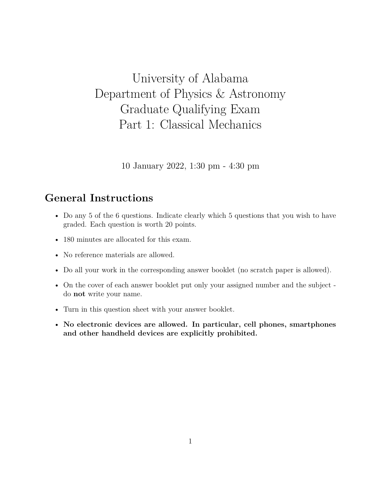## University of Alabama Department of Physics & Astronomy Graduate Qualifying Exam Part 1: Classical Mechanics

10 January 2022, 1:30 pm - 4:30 pm

## **General Instructions**

- Do any 5 of the 6 questions. Indicate clearly which 5 questions that you wish to have graded. Each question is worth 20 points.
- 180 minutes are allocated for this exam.
- No reference materials are allowed.
- Do all your work in the corresponding answer booklet (no scratch paper is allowed).
- On the cover of each answer booklet put only your assigned number and the subject do **not** write your name.
- Turn in this question sheet with your answer booklet.
- **No electronic devices are allowed. In particular, cell phones, smartphones and other handheld devices are explicitly prohibited.**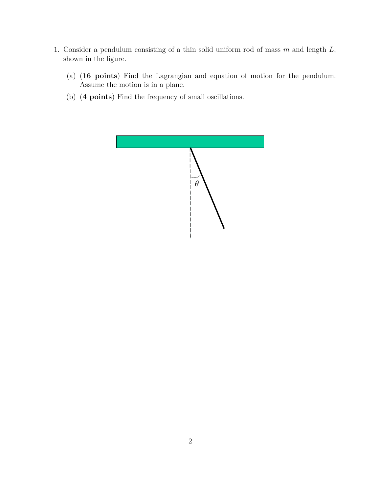- 1. Consider a pendulum consisting of a thin solid uniform rod of mass  $m$  and length  $L$ , shown in the figure.
	- (a) (**16 points**) Find the Lagrangian and equation of motion for the pendulum. Assume the motion is in a plane.
	- (b) (**4 points**) Find the frequency of small oscillations.

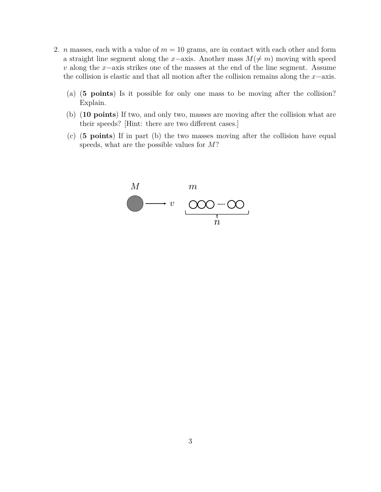- 2. *n* masses, each with a value of  $m = 10$  grams, are in contact with each other and form a straight line segment along the x–axis. Another mass  $M(≠ m)$  moving with speed v along the x–axis strikes one of the masses at the end of the line segment. Assume the collision is elastic and that all motion after the collision remains along the  $x$ −axis.
	- (a) (**5 points**) Is it possible for only one mass to be moving after the collision? Explain.
	- (b) (**10 points**) If two, and only two, masses are moving after the collision what are their speeds? [Hint: there are two different cases.]
	- (c) (**5 points**) If in part (b) the two masses moving after the collision have equal  $\sigma$  points) if in part (b) the two masses move-<br>speeds, what are the possible values for M?

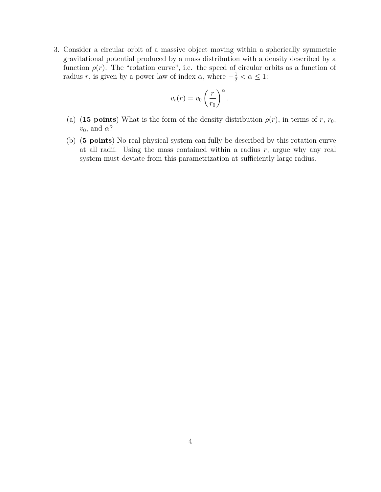3. Consider a circular orbit of a massive object moving within a spherically symmetric gravitational potential produced by a mass distribution with a density described by a function  $\rho(r)$ . The "rotation curve", i.e. the speed of circular orbits as a function of radius r, is given by a power law of index  $\alpha$ , where  $-\frac{1}{2} < \alpha \leq 1$ :

$$
v_c(r) = v_0 \left(\frac{r}{r_0}\right)^{\alpha}.
$$

- (a) (**15 points**) What is the form of the density distribution  $\rho(r)$ , in terms of r, r<sub>0</sub>,  $v_0$ , and  $\alpha$ ?
- (b) (**5 points**) No real physical system can fully be described by this rotation curve at all radii. Using the mass contained within a radius  $r$ , argue why any real system must deviate from this parametrization at sufficiently large radius.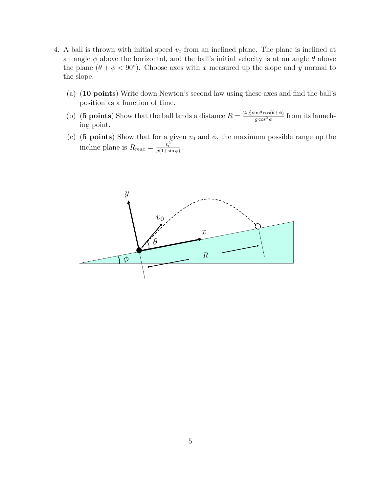- 4. A ball is thrown with initial speed  $v_0$  from an inclined plane. The plane is inclined at an angle  $\phi$  above the horizontal, and the ball's initial velocity is at an angle  $\theta$  above the plane  $(\theta + \phi < 90^{\circ})$ . Choose axes with x measured up the slope and y normal to the slope.
	- (a) (**10 points**) Write down Newton's second law using these axes and find the ball's position as a function of time.
	- (b) (**5 points**) Show that the ball lands a distance  $R = \frac{2v_0^2 \sin \theta \cos(\theta + \phi)}{g \cos^2 \phi}$  $\frac{\ln \theta \cos(\theta + \phi)}{g \cos^2 \phi}$  from its launching point.
	- (c) (**5 points**) Show that for a given  $v_0$  and  $\phi$ , the maximum possible range up the incline plane is  $R_{max} = \frac{v_0^2}{g(1+\sin\phi)}$ .

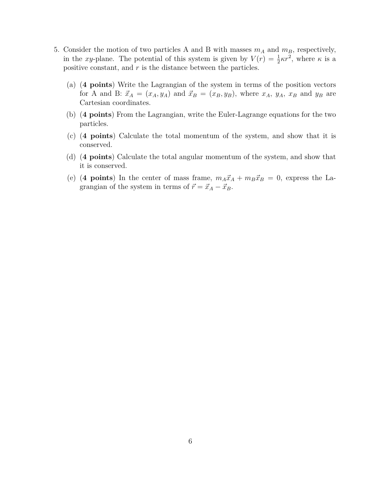- 5. Consider the motion of two particles A and B with masses  $m_A$  and  $m_B$ , respectively, in the xy-plane. The potential of this system is given by  $V(r) = \frac{1}{2}\kappa r^2$ , where  $\kappa$  is a positive constant, and r is the distance between the particles.
	- (a) (**4 points**) Write the Lagrangian of the system in terms of the position vectors for A and B:  $\vec{x}_A = (x_A, y_A)$  and  $\vec{x}_B = (x_B, y_B)$ , where  $x_A$ ,  $y_A$ ,  $x_B$  and  $y_B$  are Cartesian coordinates.
	- (b) (**4 points**) From the Lagrangian, write the Euler-Lagrange equations for the two particles.
	- (c) (**4 points**) Calculate the total momentum of the system, and show that it is conserved.
	- (d) (**4 points**) Calculate the total angular momentum of the system, and show that it is conserved.
	- (e) (4 points) In the center of mass frame,  $m_A\vec{x}_A + m_B\vec{x}_B = 0$ , express the Lagrangian of the system in terms of  $\vec{r} = \vec{x}_A - \vec{x}_B$ .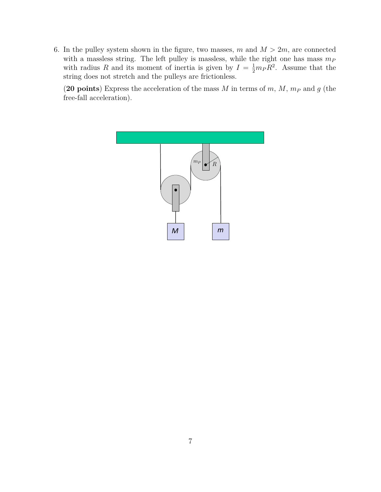6. In the pulley system shown in the figure, two masses, m and  $M > 2m$ , are connected with a massless string. The left pulley is massless, while the right one has mass  $m_P$ with radius R and its moment of inertia is given by  $I = \frac{1}{2} m_P R^2$ . Assume that the string does not stretch and the pulleys are frictionless. !  $\frac{1}{2}m_P R^2$ . Assu m + *m<sup>B</sup>* ).<br>h *d*<sub>B</sub> *dt*<sup>2</sup> <sup>−</sup> *<sup>y</sup><sup>B</sup>*

> (20 points) Express the acceleration of the mass M in terms of m, M,  $m_P$  and g (the  ${\bf free-fall}\,\,{\rm acceleration}).$

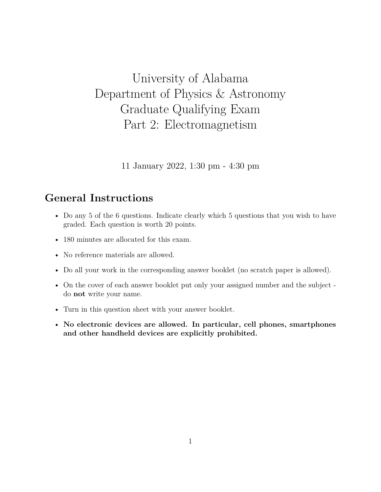## University of Alabama Department of Physics & Astronomy Graduate Qualifying Exam Part 2: Electromagnetism

11 January 2022, 1:30 pm - 4:30 pm

## **General Instructions**

- Do any 5 of the 6 questions. Indicate clearly which 5 questions that you wish to have graded. Each question is worth 20 points.
- 180 minutes are allocated for this exam.
- No reference materials are allowed.
- Do all your work in the corresponding answer booklet (no scratch paper is allowed).
- On the cover of each answer booklet put only your assigned number and the subject do **not** write your name.
- Turn in this question sheet with your answer booklet.
- **No electronic devices are allowed. In particular, cell phones, smartphones and other handheld devices are explicitly prohibited.**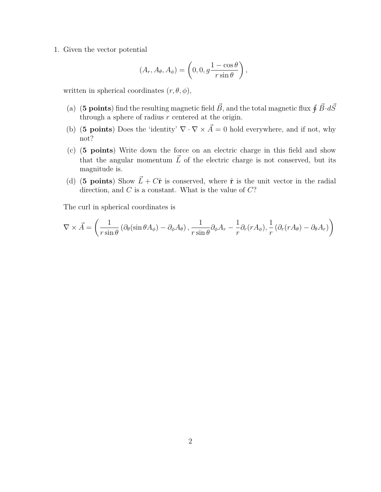1. Given the vector potential

$$
(A_r, A_\theta, A_\phi) = \left(0, 0, g \frac{1 - \cos \theta}{r \sin \theta}\right),
$$

written in spherical coordinates  $(r, \theta, \phi)$ ,

- (a) (5 points) find the resulting magnetic field  $\vec{B}$ , and the total magnetic flux  $\oint \vec{B} \cdot d\vec{S}$ through a sphere of radius  $\overline{r}$  centered at the origin.
- (b) (**5 points**) Does the 'identity'  $\nabla \cdot \nabla \times \vec{A} = 0$  hold everywhere, and if not, why not?
- (c) (**5 points**) Write down the force on an electric charge in this field and show that the angular momentum  $\vec{L}$  of the electric charge is not conserved, but its magnitude is.
- (d) (5 points) Show  $\vec{L} + C\hat{\mathbf{r}}$  is conserved, where  $\hat{\mathbf{r}}$  is the unit vector in the radial direction, and  $C$  is a constant. What is the value of  $C$ ?

The curl in spherical coordinates is

$$
\nabla \times \vec{A} = \left( \frac{1}{r \sin \theta} \left( \partial_{\theta} (\sin \theta A_{\phi}) - \partial_{\phi} A_{\theta} \right), \frac{1}{r \sin \theta} \partial_{\phi} A_{r} - \frac{1}{r} \partial_{r} (r A_{\phi}), \frac{1}{r} \left( \partial_{r} (r A_{\theta}) - \partial_{\theta} A_{r} \right) \right)
$$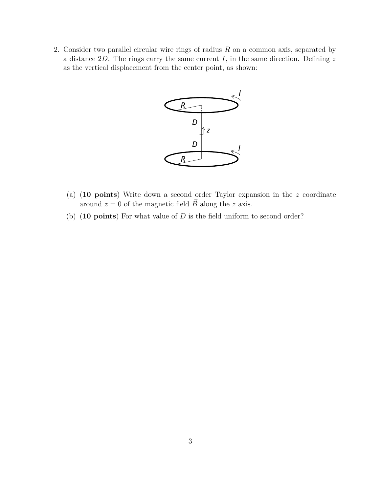2. Consider two parallel circular wire rings of radius  $R$  on a common axis, separated by a distance  $2D$ . The rings carry the same current I, in the same direction. Defining z as the vertical displacement from the center point, as shown:



- (a) (**10 points**) Write down a second order Taylor expansion in the z coordinate around  $z = 0$  of the magnetic field  $\vec{B}$  along the z axis.
- (b) (**10 points**) For what value of D is the field uniform to second order?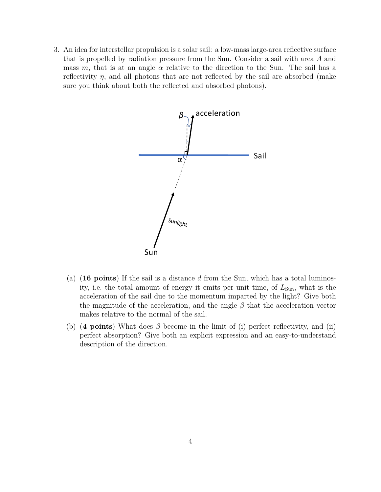3. An idea for interstellar propulsion is a solar sail: a low-mass large-area reflective surface that is propelled by radiation pressure from the Sun. Consider a sail with area A and mass m, that is at an angle  $\alpha$  relative to the direction to the Sun. The sail has a reflectivity  $\eta$ , and all photons that are not reflected by the sail are absorbed (make sure you think about both the reflected and absorbed photons).



- (a) (**16 points**) If the sail is a distance d from the Sun, which has a total luminosity, i.e. the total amount of energy it emits per unit time, of  $L_{Sun}$ , what is the acceleration of the sail due to the momentum imparted by the light? Give both the magnitude of the acceleration, and the angle  $\beta$  that the acceleration vector makes relative to the normal of the sail.
- (b) (**4 points**) What does  $\beta$  become in the limit of (i) perfect reflectivity, and (ii) perfect absorption? Give both an explicit expression and an easy-to-understand description of the direction.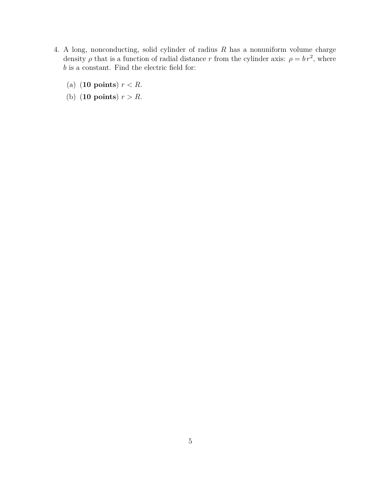- 4. A long, nonconducting, solid cylinder of radius  $R$  has a nonuniform volume charge density  $\rho$  that is a function of radial distance r from the cylinder axis:  $\rho = br^2$ , where  $\boldsymbol{b}$  is a constant. Find the electric field for:
	- (a)  $(10 \text{ points})$   $r < R$ .
	- (b) (**10 points**)  $r > R$ .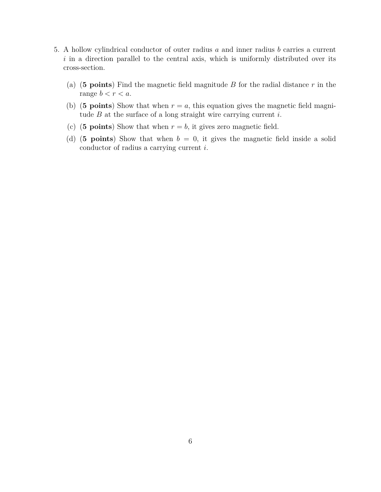- 5. A hollow cylindrical conductor of outer radius a and inner radius b carries a current  $i$  in a direction parallel to the central axis, which is uniformly distributed over its cross-section.
	- (a) (**5 points**) Find the magnetic field magnitude B for the radial distance r in the range  $b < r < a$ .
	- (b) (**5 points**) Show that when  $r = a$ , this equation gives the magnetic field magnitude  $B$  at the surface of a long straight wire carrying current  $i$ .
	- (c) (**5 points**) Show that when  $r = b$ , it gives zero magnetic field.
	- (d) (**5 points**) Show that when  $b = 0$ , it gives the magnetic field inside a solid conductor of radius a carrying current i.